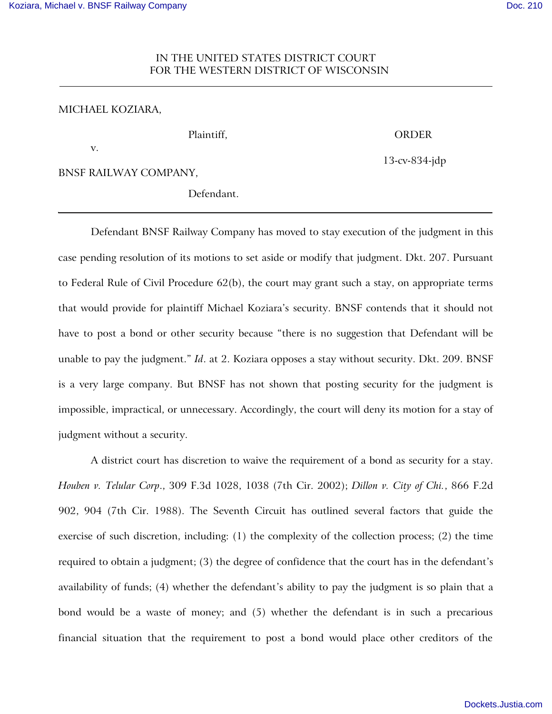## IN THE UNITED STATES DISTRICT COURT FOR THE WESTERN DISTRICT OF WISCONSIN

## MICHAEL KOZIARA,

## Plaintiff, ORDER

v.

13-cv-834-jdp

BNSF RAILWAY COMPANY,

Defendant.

Defendant BNSF Railway Company has moved to stay execution of the judgment in this case pending resolution of its motions to set aside or modify that judgment. Dkt. 207. Pursuant to Federal Rule of Civil Procedure 62(b), the court may grant such a stay, on appropriate terms that would provide for plaintiff Michael Koziara's security. BNSF contends that it should not have to post a bond or other security because "there is no suggestion that Defendant will be unable to pay the judgment." *Id*. at 2. Koziara opposes a stay without security. Dkt. 209. BNSF is a very large company. But BNSF has not shown that posting security for the judgment is impossible, impractical, or unnecessary. Accordingly, the court will deny its motion for a stay of judgment without a security.

A district court has discretion to waive the requirement of a bond as security for a stay. *Houben v. Telular Corp*., 309 F.3d 1028, 1038 (7th Cir. 2002); *Dillon v. City of Chi.*, 866 F.2d 902, 904 (7th Cir. 1988). The Seventh Circuit has outlined several factors that guide the exercise of such discretion, including: (1) the complexity of the collection process; (2) the time required to obtain a judgment; (3) the degree of confidence that the court has in the defendant's availability of funds; (4) whether the defendant's ability to pay the judgment is so plain that a bond would be a waste of money; and (5) whether the defendant is in such a precarious financial situation that the requirement to post a bond would place other creditors of the